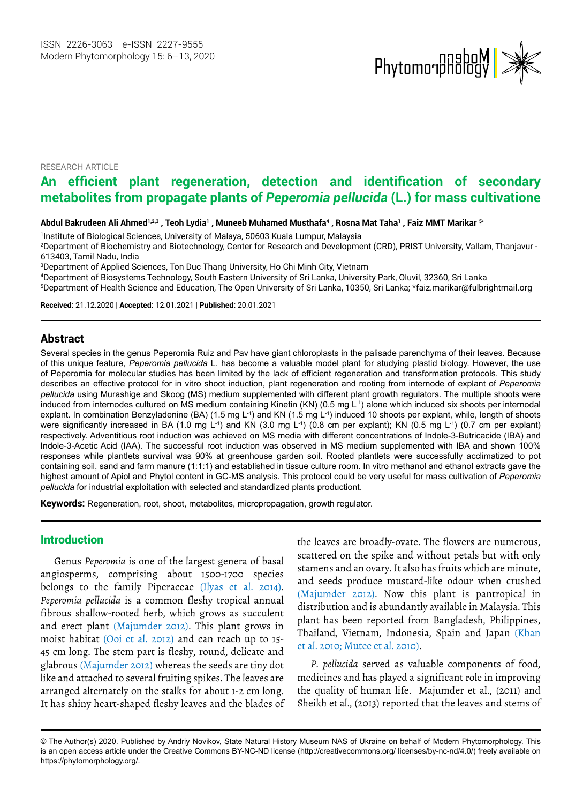

RESEARCH ARTICLE

# **An efficient plant regeneration, detection and identification of secondary metabolites from propagate plants of** *Peperomia pellucida* **(L.) for mass cultivatione**

Abdul Bakrudeen Ali Ahmed½3, Teoh Lydia½, Muneeb Muhamed Musthafa<sup>4</sup> , Rosna Mat Taha' , Faiz MMT Marikar <sup>5</sup>\*

1 Institute of Biological Sciences, University of Malaya, 50603 Kuala Lumpur, Malaysia

<sup>2</sup>Department of Biochemistry and Biotechnology, Center for Research and Development (CRD), PRIST University, Vallam, Thanjavur -613403, Tamil Nadu, India

3Department of Applied Sciences, Ton Duc Thang University, Ho Chi Minh City, Vietnam

4 Department of Biosystems Technology, South Eastern University of Sri Lanka, University Park, Oluvil, 32360, Sri Lanka

5 Department of Health Science and Education, The Open University of Sri Lanka, 10350, Sri Lanka; \*faiz.marikar@fulbrightmail.org

**Received:** 21.12.2020 | **Accepted:** 12.01.2021 | **Published:** 20.01.2021

# **Abstract**

Several species in the genus Peperomia Ruiz and Pav have giant chloroplasts in the palisade parenchyma of their leaves. Because of this unique feature, *Peperomia pellucida* L. has become a valuable model plant for studying plastid biology. However, the use of Peperomia for molecular studies has been limited by the lack of efficient regeneration and transformation protocols. This study describes an effective protocol for in vitro shoot induction, plant regeneration and rooting from internode of explant of *Peperomia pellucida* using Murashige and Skoog (MS) medium supplemented with different plant growth regulators. The multiple shoots were induced from internodes cultured on MS medium containing Kinetin (KN) (0.5 mg L<sup>-1</sup>) alone which induced six shoots per internodal explant. In combination Benzyladenine (BA) (1.5 mg L<sup>-1</sup>) and KN (1.5 mg L<sup>-1</sup>) induced 10 shoots per explant, while, length of shoots were significantly increased in BA (1.0 mg L<sup>-1</sup>) and KN (3.0 mg L<sup>-1</sup>) (0.8 cm per explant); KN (0.5 mg L<sup>-1</sup>) (0.7 cm per explant) respectively. Adventitious root induction was achieved on MS media with different concentrations of Indole-3-Butricacide (IBA) and Indole-3-Acetic Acid (IAA). The successful root induction was observed in MS medium supplemented with IBA and shown 100% responses while plantlets survival was 90% at greenhouse garden soil. Rooted plantlets were successfully acclimatized to pot containing soil, sand and farm manure (1:1:1) and established in tissue culture room. In vitro methanol and ethanol extracts gave the highest amount of Apiol and Phytol content in GC-MS analysis. This protocol could be very useful for mass cultivation of *Peperomia pellucida* for industrial exploitation with selected and standardized plants productiont.

**Keywords:** Regeneration, root, shoot, metabolites, micropropagation, growth regulator.

# Introduction

Genus *Peperomia* is one of the largest genera of basal angiosperms, comprising about 1500-1700 species belongs to the family Piperaceae (Ilyas et al. 2014). *Peperomia pellucida* is a common fleshy tropical annual fibrous shallow-rooted herb, which grows as succulent and erect plant (Majumder 2012). This plant grows in moist habitat (Ooi et al. 2012) and can reach up to 15- 45 cm long. The stem part is fleshy, round, delicate and glabrous (Majumder 2012) whereas the seeds are tiny dot like and attached to several fruiting spikes. The leaves are arranged alternately on the stalks for about 1-2 cm long. It has shiny heart-shaped fleshy leaves and the blades of the leaves are broadly-ovate. The flowers are numerous, scattered on the spike and without petals but with only stamens and an ovary. It also has fruits which are minute, and seeds produce mustard-like odour when crushed (Majumder 2012). Now this plant is pantropical in distribution and is abundantly available in Malaysia. This plant has been reported from Bangladesh, Philippines, Thailand, Vietnam, Indonesia, Spain and Japan (Khan et al. 2010; Mutee et al. 2010).

*P. pellucida* served as valuable components of food, medicines and has played a significant role in improving the quality of human life. Majumder et al., (2011) and Sheikh et al., (2013) reported that the leaves and stems of

<sup>©</sup> The Author(s) 2020. Published by Andriy Novikov, State Natural History Museum NAS of Ukraine on behalf of Modern Phytomorphology. This is an open access article under the Creative Commons BY-NC-ND license (http://creativecommons.org/ licenses/by-nc-nd/4.0/) freely available on https://phytomorphology.org/.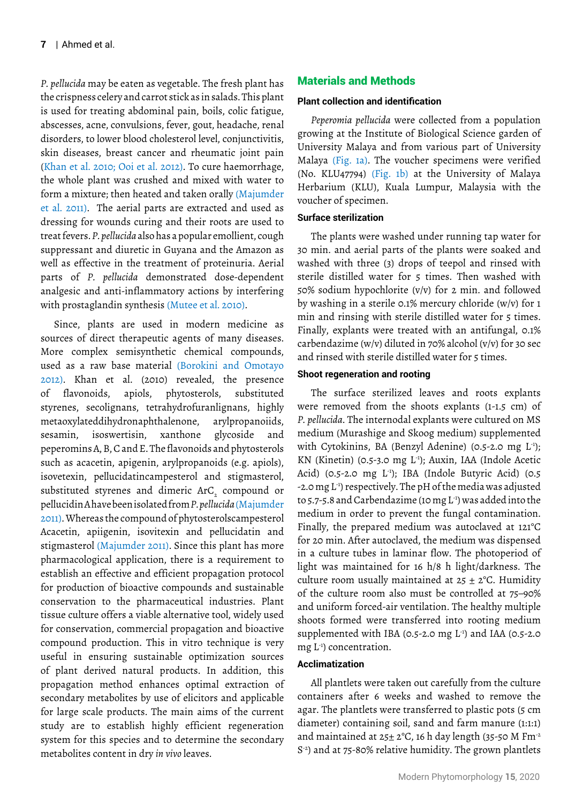*P. pellucida* may be eaten as vegetable. The fresh plant has the crispness celery and carrot stick as in salads. This plant is used for treating abdominal pain, boils, colic fatigue, abscesses, acne, convulsions, fever, gout, headache, renal disorders, to lower blood cholesterol level, conjunctivitis, skin diseases, breast cancer and rheumatic joint pain (Khan et al. 2010; Ooi et al. 2012). To cure haemorrhage, the whole plant was crushed and mixed with water to form a mixture; then heated and taken orally (Majumder et al. 2011). The aerial parts are extracted and used as dressing for wounds curing and their roots are used to treat fevers. *P. pellucida* also has a popular emollient, cough suppressant and diuretic in Guyana and the Amazon as well as effective in the treatment of proteinuria. Aerial parts of *P. pellucida* demonstrated dose-dependent analgesic and anti-inflammatory actions by interfering with prostaglandin synthesis (Mutee et al. 2010).

Since, plants are used in modern medicine as sources of direct therapeutic agents of many diseases. More complex semisynthetic chemical compounds, used as a raw base material (Borokini and Omotayo 2012). Khan et al. (2010) revealed, the presence of flavonoids, apiols, phytosterols, substituted styrenes, secolignans, tetrahydrofuranlignans, highly metaoxylateddihydronaphthalenone, arylpropanoiids, sesamin, isoswertisin, xanthone glycoside and peperomins A, B, C and E. The flavonoids and phytosterols such as acacetin, apigenin, arylpropanoids (e.g. apiols), isovetexin, pellucidatincampesterol and stigmasterol, substituted styrenes and dimeric ArC $_{\textrm{\tiny{2}}}$  compound or pellucidin A have been isolated from *P. pellucida*(Majumder 2011). Whereas the compound of phytosterolscampesterol Acacetin, apiigenin, isovitexin and pellucidatin and stigmasterol (Majumder 2011). Since this plant has more pharmacological application, there is a requirement to establish an effective and efficient propagation protocol for production of bioactive compounds and sustainable conservation to the pharmaceutical industries. Plant tissue culture offers a viable alternative tool, widely used for conservation, commercial propagation and bioactive compound production. This in vitro technique is very useful in ensuring sustainable optimization sources of plant derived natural products. In addition, this propagation method enhances optimal extraction of secondary metabolites by use of elicitors and applicable for large scale products. The main aims of the current study are to establish highly efficient regeneration system for this species and to determine the secondary metabolites content in dry *in vivo* leaves.

# Materials and Methods

#### **Plant collection and identification**

*Peperomia pellucida* were collected from a population growing at the Institute of Biological Science garden of University Malaya and from various part of University Malaya (Fig. 1a). The voucher specimens were verified (No. KLU47794) (Fig. 1b) at the University of Malaya Herbarium (KLU), Kuala Lumpur, Malaysia with the voucher of specimen.

#### **Surface sterilization**

The plants were washed under running tap water for 30 min. and aerial parts of the plants were soaked and washed with three (3) drops of teepol and rinsed with sterile distilled water for 5 times. Then washed with 50% sodium hypochlorite (v/v) for 2 min. and followed by washing in a sterile 0.1% mercury chloride (w/v) for 1 min and rinsing with sterile distilled water for 5 times. Finally, explants were treated with an antifungal, 0.1% carbendazime (w/v) diluted in 70% alcohol (v/v) for 30 sec and rinsed with sterile distilled water for 5 times.

#### **Shoot regeneration and rooting**

The surface sterilized leaves and roots explants were removed from the shoots explants (1-1.5 cm) of *P. pellucida*. The internodal explants were cultured on MS medium (Murashige and Skoog medium) supplemented with Cytokinins, BA (Benzyl Adenine) (0.5-2.0 mg L<sup>1</sup>); KN (Kinetin) (0.5-3.0 mg L<sup>1</sup>); Auxin, IAA (Indole Acetic Acid) (0.5-2.0 mg  $L^{-1}$ ); IBA (Indole Butyric Acid) (0.5 -2.0 mg L-1) respectively. The pH of the media was adjusted to 5.7-5.8 and Carbendazime (10 mg L-1) was added into the medium in order to prevent the fungal contamination. Finally, the prepared medium was autoclaved at 121°C for 20 min. After autoclaved, the medium was dispensed in a culture tubes in laminar flow. The photoperiod of light was maintained for 16 h/8 h light/darkness. The culture room usually maintained at  $25 \pm 2$ °C. Humidity of the culture room also must be controlled at 75–90% and uniform forced-air ventilation. The healthy multiple shoots formed were transferred into rooting medium supplemented with IBA (0.5-2.0 mg  $L^{-1}$ ) and IAA (0.5-2.0 mg L-1) concentration.

#### **Acclimatization**

All plantlets were taken out carefully from the culture containers after 6 weeks and washed to remove the agar. The plantlets were transferred to plastic pots (5 cm diameter) containing soil, sand and farm manure (1:1:1) and maintained at  $25 \pm 2^{\circ}$ C, 16 h day length (35-50 M Fm<sup>-2</sup> S<sup>-2</sup>) and at 75-80% relative humidity. The grown plantlets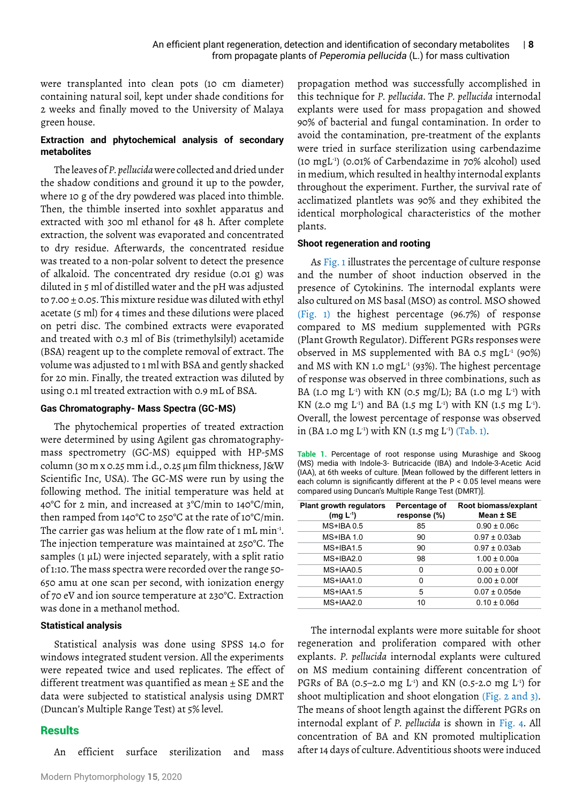were transplanted into clean pots (10 cm diameter) containing natural soil, kept under shade conditions for 2 weeks and finally moved to the University of Malaya green house.

# **Extraction and phytochemical analysis of secondary metabolites**

The leaves of *P. pellucida* were collected and dried under the shadow conditions and ground it up to the powder, where 10 g of the dry powdered was placed into thimble. Then, the thimble inserted into soxhlet apparatus and extracted with 300 ml ethanol for 48 h. After complete extraction, the solvent was evaporated and concentrated to dry residue. Afterwards, the concentrated residue was treated to a non-polar solvent to detect the presence of alkaloid. The concentrated dry residue (0.01 g) was diluted in 5 ml of distilled water and the pH was adjusted to 7.00  $\pm$  0.05. This mixture residue was diluted with ethyl acetate (5 ml) for 4 times and these dilutions were placed on petri disc. The combined extracts were evaporated and treated with 0.3 ml of Bis (trimethylsilyl) acetamide (BSA) reagent up to the complete removal of extract. The volume was adjusted to 1 ml with BSA and gently shacked for 20 min. Finally, the treated extraction was diluted by using 0.1 ml treated extraction with 0.9 mL of BSA.

## **Gas Chromatography- Mass Spectra (GC-MS)**

The phytochemical properties of treated extraction were determined by using Agilent gas chromatographymass spectrometry (GC-MS) equipped with HP-5MS column (30 m x 0.25 mm i.d., 0.25 µm film thickness, J&W Scientific Inc, USA). The GC-MS were run by using the following method. The initial temperature was held at 40°C for 2 min, and increased at 3°C/min to 140°C/min, then ramped from 140°C to 250°C at the rate of 10°C/min. The carrier gas was helium at the flow rate of 1 mL min<sup>-1</sup>. The injection temperature was maintained at 250°C. The samples  $(1 \mu L)$  were injected separately, with a split ratio of 1:10. The mass spectra were recorded over the range 50- 650 amu at one scan per second, with ionization energy of 70 eV and ion source temperature at 230°C. Extraction was done in a methanol method.

## **Statistical analysis**

Statistical analysis was done using SPSS 14.0 for windows integrated student version. All the experiments were repeated twice and used replicates. The effect of different treatment was quantified as mean  $\pm$  SE and the data were subjected to statistical analysis using DMRT (Duncan's Multiple Range Test) at 5% level.

# **Results**

An efficient surface sterilization and mass

propagation method was successfully accomplished in this technique for *P. pellucida*. The *P. pellucida* internodal explants were used for mass propagation and showed 90% of bacterial and fungal contamination. In order to avoid the contamination, pre-treatment of the explants were tried in surface sterilization using carbendazime (10 mgL-1) (0.01% of Carbendazime in 70% alcohol) used in medium, which resulted in healthy internodal explants throughout the experiment. Further, the survival rate of acclimatized plantlets was 90% and they exhibited the identical morphological characteristics of the mother plants.

## **Shoot regeneration and rooting**

As Fig. 1 illustrates the percentage of culture response and the number of shoot induction observed in the presence of Cytokinins. The internodal explants were also cultured on MS basal (MSO) as control. MSO showed (Fig. 1) the highest percentage (96.7%) of response compared to MS medium supplemented with PGRs (Plant Growth Regulator). Different PGRs responses were observed in MS supplemented with BA 0.5 mgL<sup>1</sup> (90%) and MS with KN 1.0 mgL<sup>-1</sup> (93%). The highest percentage of response was observed in three combinations, such as BA (1.0 mg L<sup>-1</sup>) with KN (0.5 mg/L); BA (1.0 mg L<sup>-1</sup>) with KN (2.0 mg L<sup>-1</sup>) and BA (1.5 mg L<sup>-1</sup>) with KN (1.5 mg L<sup>-1</sup>). Overall, the lowest percentage of response was observed in (BA 1.0 mg L<sup>-1</sup>) with KN (1.5 mg L<sup>-1</sup>) (Tab. 1).

**Table 1.** Percentage of root response using Murashige and Skoog (MS) media with Indole-3- Butricacide (IBA) and Indole-3-Acetic Acid (IAA), at 6th weeks of culture. [Mean followed by the different letters in each column is significantly different at the P < 0.05 level means were compared using Duncan's Multiple Range Test (DMRT)].

| <b>Plant growth regulators</b><br>$(mg L-1)$ | Percentage of<br>response (%) | Root biomass/explant<br>Mean ± SE |
|----------------------------------------------|-------------------------------|-----------------------------------|
| $MS+IBA 0.5$                                 | 85                            | $0.90 \pm 0.06c$                  |
| $MS+IBA 1.0$                                 | 90                            | $0.97 \pm 0.03$ ab                |
| $MS+IBA1.5$                                  | 90                            | $0.97 \pm 0.03$ ab                |
| $MS+IBA2.0$                                  | 98                            | $1.00 \pm 0.00a$                  |
| MS+IAA0.5                                    | 0                             | $0.00 \pm 0.00f$                  |
| MS+IAA1.0                                    | 0                             | $0.00 \pm 0.00f$                  |
| MS+IAA1.5                                    | 5                             | $0.07 \pm 0.05$ de                |
| MS+IAA2.0                                    | 10                            | $0.10 \pm 0.06d$                  |

The internodal explants were more suitable for shoot regeneration and proliferation compared with other explants. *P. pellucida* internodal explants were cultured on MS medium containing different concentration of PGRs of BA (0.5–2.0 mg L<sup>-1</sup>) and KN (0.5-2.0 mg L<sup>-1</sup>) for shoot multiplication and shoot elongation (Fig. 2 and 3). The means of shoot length against the different PGRs on internodal explant of *P. pellucida* is shown in Fig. 4. All concentration of BA and KN promoted multiplication after 14 days of culture. Adventitious shoots were induced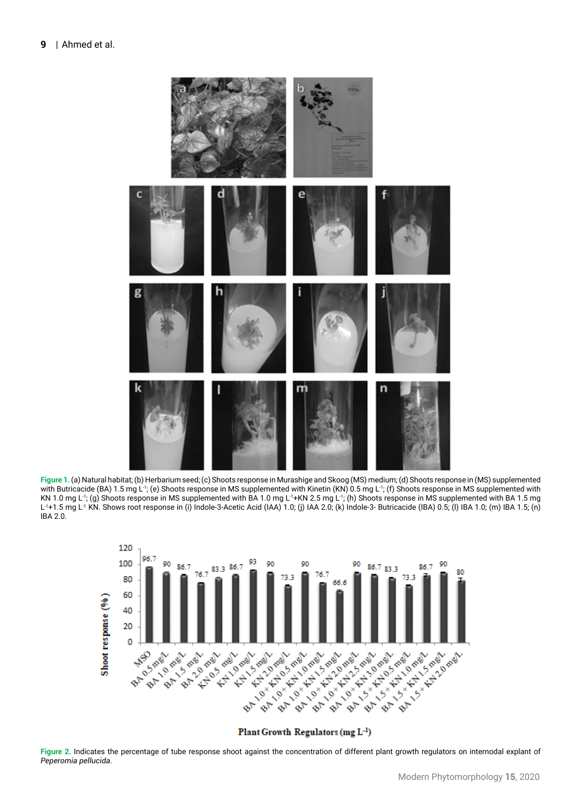

**Figure 1.** (a) Natural habitat; (b) Herbarium seed; (c) Shoots response in Murashige and Skoog (MS) medium; (d) Shoots response in (MS) supplemented with Butricacide (BA) 1.5 mg L<sup>-1</sup>; (e) Shoots response in MS supplemented with Kinetin (KN) 0.5 mg L<sup>-1</sup>; (f) Shoots response in MS supplemented with KN 1.0 mg L<sup>-1</sup>; (g) Shoots response in MS supplemented with BA 1.0 mg L<sup>-1</sup>+KN 2.5 mg L<sup>-1</sup>; (h) Shoots response in MS supplemented with BA 1.5 mg L<sup>-1</sup>+1.5 mg L<sup>-1</sup> KN. Shows root response in (i) Indole-3-Acetic Acid (IAA) 1.0; (j) IAA 2.0; (k) Indole-3- Butricacide (IBA) 0.5; (l) IBA 1.0; (m) IBA 1.5; (n) IBA 2.0.



Plant Growth Regulators (mg L-1)

**Figure 2.** Indicates the percentage of tube response shoot against the concentration of different plant growth regulators on internodal explant of *Peperomia pellucida*.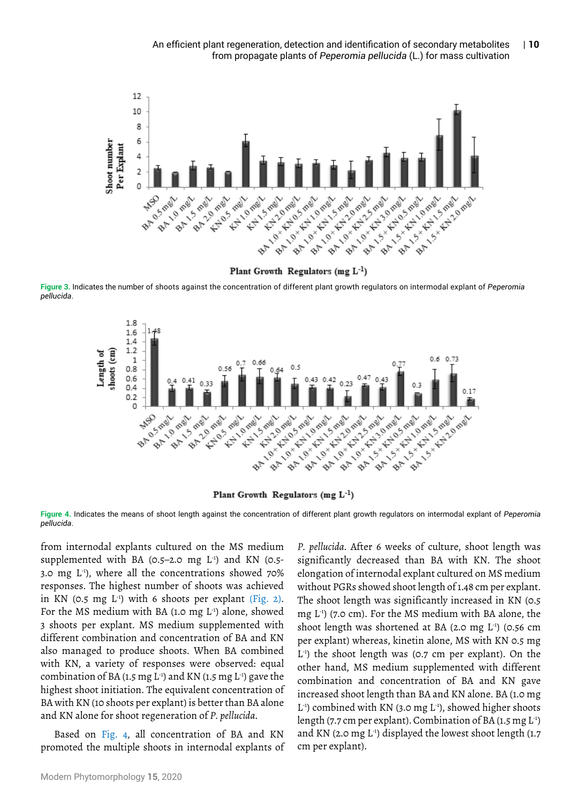

Plant Growth Regulators (mg  $L^{-1}$ )

**Figure 3.** Indicates the number of shoots against the concentration of different plant growth regulators on intermodal explant of *Peperomia pellucida*.



Plant Growth Regulators (mg  $L^{-1}$ )

**Figure 4.** Indicates the means of shoot length against the concentration of different plant growth regulators on intermodal explant of *Peperomia pellucida*.

from internodal explants cultured on the MS medium supplemented with BA (0.5–2.0 mg  $L^{-1}$ ) and KN (0.5-3.0 mg  $L^{-1}$ ), where all the concentrations showed 70% responses. The highest number of shoots was achieved in KN (0.5 mg L-1) with 6 shoots per explant (Fig. 2). For the MS medium with BA (1.0 mg  $L^{-1}$ ) alone, showed 3 shoots per explant. MS medium supplemented with different combination and concentration of BA and KN also managed to produce shoots. When BA combined with KN, a variety of responses were observed: equal combination of BA (1.5 mg  $L^{-1}$ ) and KN (1.5 mg  $L^{-1}$ ) gave the highest shoot initiation. The equivalent concentration of BA with KN (10 shoots per explant) is better than BA alone and KN alone for shoot regeneration of *P. pellucida*.

Based on Fig. 4, all concentration of BA and KN promoted the multiple shoots in internodal explants of *P. pellucida*. After 6 weeks of culture, shoot length was significantly decreased than BA with KN. The shoot elongation of internodal explant cultured on MS medium without PGRs showed shoot length of 1.48 cm per explant. The shoot length was significantly increased in KN (0.5 mg  $L^{-1}$ ) (7.0 cm). For the MS medium with BA alone, the shoot length was shortened at BA (2.0 mg  $L^{-1}$ ) (0.56 cm per explant) whereas, kinetin alone, MS with KN 0.5 mg  $L<sup>-1</sup>$ ) the shoot length was (0.7 cm per explant). On the other hand, MS medium supplemented with different combination and concentration of BA and KN gave increased shoot length than BA and KN alone. BA (1.0 mg  $L^{-1}$ ) combined with KN (3.0 mg  $L^{-1}$ ), showed higher shoots length (7.7 cm per explant). Combination of BA (1.5 mg  $L^{-1}$ ) and KN (2.0 mg L<sup>-1</sup>) displayed the lowest shoot length (1.7 cm per explant).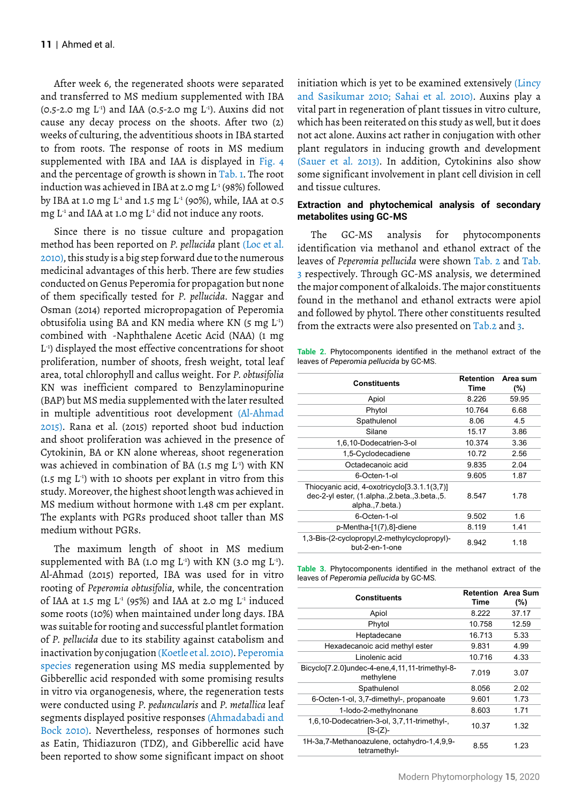After week 6, the regenerated shoots were separated and transferred to MS medium supplemented with IBA (0.5-2.0 mg  $L^{-1}$ ) and IAA (0.5-2.0 mg  $L^{-1}$ ). Auxins did not cause any decay process on the shoots. After two (2) weeks of culturing, the adventitious shoots in IBA started to from roots. The response of roots in MS medium supplemented with IBA and IAA is displayed in Fig. 4 and the percentage of growth is shown in Tab. 1. The root induction was achieved in IBA at 2.0 mg  $L^1(98\%)$  followed by IBA at 1.0 mg  $L^1$  and 1.5 mg  $L^1$  (90%), while, IAA at 0.5 mg  $L^1$  and IAA at 1.0 mg  $L^1$  did not induce any roots.

Since there is no tissue culture and propagation method has been reported on *P. pellucida* plant (Loc et al. 2010), this study is a big step forward due to the numerous medicinal advantages of this herb. There are few studies conducted on Genus Peperomia for propagation but none of them specifically tested for *P. pellucida*. Naggar and Osman (2014) reported micropropagation of Peperomia obtusifolia using BA and KN media where KN (5 mg L-1) combined with -Naphthalene Acetic Acid (NAA) (1 mg L-1) displayed the most effective concentrations for shoot proliferation, number of shoots, fresh weight, total leaf area, total chlorophyll and callus weight. For *P. obtusifolia* KN was inefficient compared to Benzylaminopurine (BAP) but MS media supplemented with the later resulted in multiple adventitious root development (Al-Ahmad 2015). Rana et al. (2015) reported shoot bud induction and shoot proliferation was achieved in the presence of Cytokinin, BA or KN alone whereas, shoot regeneration was achieved in combination of BA  $(1.5 \text{ mg } L^1)$  with KN (1.5 mg  $L^{-1}$ ) with 10 shoots per explant in vitro from this study. Moreover, the highest shoot length was achieved in MS medium without hormone with 1.48 cm per explant. The explants with PGRs produced shoot taller than MS medium without PGRs.

The maximum length of shoot in MS medium supplemented with BA (1.0 mg  $L^{-1}$ ) with KN (3.0 mg  $L^{-1}$ ). Al-Ahmad (2015) reported, IBA was used for in vitro rooting of *Peperomia obtusifolia*, while, the concentration of IAA at 1.5 mg  $L^1$  (95%) and IAA at 2.0 mg  $L^1$  induced some roots (10%) when maintained under long days. IBA was suitable for rooting and successful plantlet formation of *P. pellucida* due to its stability against catabolism and inactivation by conjugation (Koetle et al. 2010). Peperomia species regeneration using MS media supplemented by Gibberellic acid responded with some promising results in vitro via organogenesis, where, the regeneration tests were conducted using *P. peduncularis* and *P. metallica* leaf segments displayed positive responses (Ahmadabadi and Bock 2010). Nevertheless, responses of hormones such as Eatin, Thidiazuron (TDZ), and Gibberellic acid have been reported to show some significant impact on shoot

initiation which is yet to be examined extensively (Lincy and Sasikumar 2010; Sahai et al. 2010). Auxins play a vital part in regeneration of plant tissues in vitro culture, which has been reiterated on this study as well, but it does not act alone. Auxins act rather in conjugation with other plant regulators in inducing growth and development (Sauer et al. 2013). In addition, Cytokinins also show some significant involvement in plant cell division in cell and tissue cultures.

#### **Extraction and phytochemical analysis of secondary metabolites using GC-MS**

The GC-MS analysis for phytocomponents identification via methanol and ethanol extract of the leaves of *Peperomia pellucida* were shown Tab. 2 and Tab. 3 respectively. Through GC-MS analysis, we determined the major component of alkaloids. The major constituents found in the methanol and ethanol extracts were apiol and followed by phytol. There other constituents resulted from the extracts were also presented on Tab.2 and 3.

**Table 2.** Phytocomponents identified in the methanol extract of the leaves of *Peperomia pellucida* by GC-MS.

|                                                                                                                      | <b>Retention</b> | Area sum |
|----------------------------------------------------------------------------------------------------------------------|------------------|----------|
| <b>Constituents</b>                                                                                                  | Time             | (%)      |
| Apiol                                                                                                                | 8.226            | 59.95    |
| Phytol                                                                                                               | 10.764           | 6.68     |
| Spathulenol                                                                                                          | 8.06             | 4.5      |
| Silane                                                                                                               | 15.17            | 3.86     |
| 1,6,10-Dodecatrien-3-ol                                                                                              | 10.374           | 3.36     |
| 1,5-Cyclodecadiene                                                                                                   | 10.72            | 2.56     |
| Octadecanoic acid                                                                                                    | 9.835            | 2.04     |
| 6-Octen-1-ol                                                                                                         | 9.605            | 1.87     |
| Thiocyanic acid, 4-oxotricyclo[3.3.1.1(3,7)]<br>dec-2-yl ester, (1.alpha., 2.beta., 3.beta., 5.<br>alpha., 7. beta.) | 8.547            | 1.78     |
| 6-Octen-1-ol                                                                                                         | 9.502            | 1.6      |
| p-Mentha-[1(7),8]-diene                                                                                              | 8.119            | 1.41     |
| 1,3-Bis-(2-cyclopropyl,2-methylcyclopropyl)-<br>but-2-en-1-one                                                       | 8.942            | 1.18     |

**Table 3.** Phytocomponents identified in the methanol extract of the leaves of *Peperomia pellucida* by GC-MS.

| <b>Constituents</b>                                            | Time   | <b>Retention Area Sum</b><br>$(\% )$ |
|----------------------------------------------------------------|--------|--------------------------------------|
| Apiol                                                          | 8.222  | 37.17                                |
| Phytol                                                         | 10.758 | 12.59                                |
| Heptadecane                                                    | 16.713 | 5.33                                 |
| Hexadecanoic acid methyl ester                                 | 9.831  | 4.99                                 |
| Linolenic acid                                                 | 10.716 | 4.33                                 |
| Bicyclo[7.2.0]undec-4-ene,4,11,11-trimethyl-8-<br>methylene    | 7.019  | 3.07                                 |
| Spathulenol                                                    | 8.056  | 2.02                                 |
| 6-Octen-1-ol, 3,7-dimethyl-, propanoate                        | 9.601  | 1.73                                 |
| 1-lodo-2-methylnonane                                          | 8.603  | 1.71                                 |
| 1,6,10-Dodecatrien-3-ol, 3,7,11-trimethyl-,<br>$IS-(Z)-$       | 10.37  | 1.32                                 |
| 1H-3a, 7-Methanoazulene, octahydro-1, 4, 9, 9-<br>tetramethyl- | 8.55   | 1 23                                 |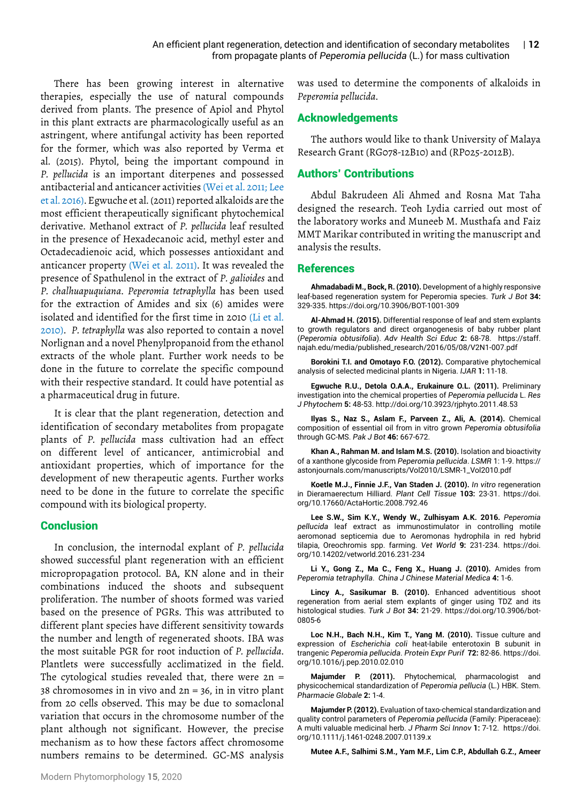There has been growing interest in alternative therapies, especially the use of natural compounds derived from plants. The presence of Apiol and Phytol in this plant extracts are pharmacologically useful as an astringent, where antifungal activity has been reported for the former, which was also reported by Verma et al. (2015). Phytol, being the important compound in *P. pellucida* is an important diterpenes and possessed antibacterial and anticancer activities (Wei et al. 2011; Lee et al. 2016). Egwuche et al. (2011) reported alkaloids are the most efficient therapeutically significant phytochemical derivative. Methanol extract of *P. pellucida* leaf resulted in the presence of Hexadecanoic acid, methyl ester and Octadecadienoic acid, which possesses antioxidant and anticancer property (Wei et al. 2011). It was revealed the presence of Spathulenol in the extract of *P. galioides* and *P. chalhuapuquiana*. *Peperomia tetraphylla* has been used for the extraction of Amides and six (6) amides were isolated and identified for the first time in 2010 (Li et al. 2010). *P. tetraphylla* was also reported to contain a novel Norlignan and a novel Phenylpropanoid from the ethanol extracts of the whole plant. Further work needs to be done in the future to correlate the specific compound with their respective standard. It could have potential as a pharmaceutical drug in future.

It is clear that the plant regeneration, detection and identification of secondary metabolites from propagate plants of *P. pellucida* mass cultivation had an effect on different level of anticancer, antimicrobial and antioxidant properties, which of importance for the development of new therapeutic agents. Further works need to be done in the future to correlate the specific compound with its biological property.

## **Conclusion**

In conclusion, the internodal explant of *P. pellucida* showed successful plant regeneration with an efficient micropropagation protocol. BA, KN alone and in their combinations induced the shoots and subsequent proliferation. The number of shoots formed was varied based on the presence of PGRs. This was attributed to different plant species have different sensitivity towards the number and length of regenerated shoots. IBA was the most suitable PGR for root induction of *P. pellucida*. Plantlets were successfully acclimatized in the field. The cytological studies revealed that, there were  $2n =$ 38 chromosomes in in vivo and 2n = 36, in in vitro plant from 20 cells observed. This may be due to somaclonal variation that occurs in the chromosome number of the plant although not significant. However, the precise mechanism as to how these factors affect chromosome numbers remains to be determined. GC-MS analysis

was used to determine the components of alkaloids in *Peperomia pellucida*.

# Acknowledgements

The authors would like to thank University of Malaya Research Grant (RG078-12B10) and (RP025-2012B).

# Authors' Contributions

Abdul Bakrudeen Ali Ahmed and Rosna Mat Taha designed the research. Teoh Lydia carried out most of the laboratory works and Muneeb M. Musthafa and Faiz MMT Marikar contributed in writing the manuscript and analysis the results.

## **References**

**Ahmadabadi M., Bock, R. (2010).** Development of a highly responsive leaf-based regeneration system for Peperomia species. *Turk J Bot* **34:** 329-335. https://doi.org/10.3906/BOT-1001-309

**Al-Ahmad H. (2015).** Differential response of leaf and stem explants to growth regulators and direct organogenesis of baby rubber plant (*Peperomia obtusifolia*). *Adv Health Sci Educ* **2:** 68-78.https://staff. najah.edu/media/published\_research/2016/05/08/V2N1-007.pdf

**Borokini T.I. and Omotayo F.O. (2012).** Comparative phytochemical analysis of selected medicinal plants in Nigeria. *IJAR* **1:** 11-18.

**Egwuche R.U., Detola O.A.A., Erukainure O.L. (2011).** Preliminary investigation into the chemical properties of *Peperomia pellucida* L. *Res J Phytochem* **5:** 48-53. http://doi.org/10.3923/rjphyto.2011.48.53

**Ilyas S., Naz S., Aslam F., Parveen Z., Ali, A. (2014).** Chemical composition of essential oil from in vitro grown *Peperomia obtusifolia* through GC-MS. *Pak J Bot* **46:** 667-672.

**Khan A., Rahman M. and Islam M.S. (2010).** Isolation and bioactivity of a xanthone glycoside from *Peperomia pellucida*. *LSMR* 1: 1-9. https:// astonjournals.com/manuscripts/Vol2010/LSMR-1\_Vol2010.pdf

**Koetle M.J., Finnie J.F., Van Staden J. (2010).** *In vitro* regeneration in Dieramaerectum Hilliard. *Plant Cell Tissue* **103:** 23-31. [https://doi.](https://doi.org/10.17660/ActaHortic.2008.792.46) [org/10.17660/ActaHortic.2008.792.46](https://doi.org/10.17660/ActaHortic.2008.792.46)

**Lee S.W., Sim K.Y., Wendy W., Zulhisyam A.K. 2016.** *Peperomia pellucida* leaf extract as immunostimulator in controlling motile aeromonad septicemia due to Aeromonas hydrophila in red hybrid tilapia, Oreochromis spp. farming. *Vet World* **9:** 231-234. [https://doi.](https://doi.org/10.14202/vetworld.2016.231-234 ) [org/10.14202/vetworld.2016.231-234](https://doi.org/10.14202/vetworld.2016.231-234 )

**Li Y., Gong Z., Ma C., Feng X., Huang J. (2010).** Amides from *Peperomia tetraphylla*. *China J Chinese Material Medica* **4:** 1-6.

**Lincy A., Sasikumar B. (2010).** Enhanced adventitious shoot regeneration from aerial stem explants of ginger using TDZ and its histological studies. *Turk J Bot* **34:** 21-29. [https://doi.org/10.3906/bot-](https://doi.org/10.3906/bot-0805-6)[0805-6](https://doi.org/10.3906/bot-0805-6)

**Loc N.H., Bach N.H., Kim T., Yang M. (2010).** Tissue culture and expression of *Escherichia coli* heat-labile enterotoxin B subunit in trangenic *Peperomia pellucida*. *Protein Expr Purif* **72:** 82-86. [https://doi.](https://doi.org/10.1016/j.pep.2010.02.010) [org/10.1016/j.pep.2010.02.010](https://doi.org/10.1016/j.pep.2010.02.010)

**Majumder P. (2011).** Phytochemical, pharmacologist and physicochemical standardization of *Peperomia pellucia* (L.) HBK. Stem. *Pharmacie Globale* **2:** 1-4.

**Majumder P. (2012).** Evaluation of taxo-chemical standardization and quality control parameters of *Peperomia pellucida* (Family: Piperaceae): A multi valuable medicinal herb. *J Pharm Sci Innov* **1:** 7-12. [https://doi.](https://doi.org/10.1111/j.1461-0248.2007.01139.x) [org/10.1111/j.1461-0248.2007.01139.x](https://doi.org/10.1111/j.1461-0248.2007.01139.x)

**Mutee A.F., Salhimi S.M., Yam M.F., Lim C.P., Abdullah G.Z., Ameer**